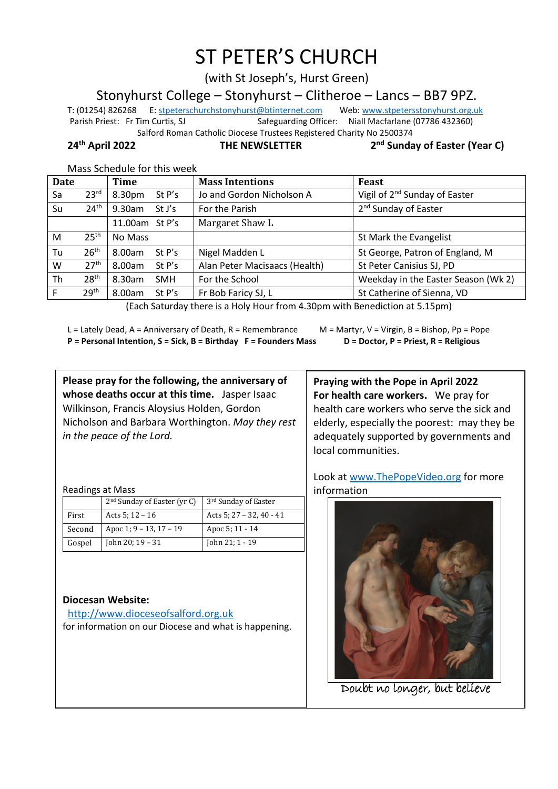# ST PETER'S CHURCH

(with St Joseph's, Hurst Green)

Stonyhurst College – Stonyhurst – Clitheroe – Lancs – BB7 9PZ.

T: (01254) 826268 E[: stpeterschurchstonyhurst@btinternet.com](mailto:stpeterschurchstonyhurst@btinternet.com) Web[: www.stpetersstonyhurst.org.uk](http://www.stpetersstonyhurst.org.uk/) Parish Priest: Fr Tim Curtis, SJ Safeguarding Officer: Niall Macfarlane (07786 432360) Salford Roman Catholic Diocese Trustees Registered Charity No 2500374

**24th April 2022 THE NEWSLETTER 2**

**nd Sunday of Easter (Year C)**

| Mass Schedule for this week |  |  |  |
|-----------------------------|--|--|--|
|-----------------------------|--|--|--|

| <b>Date</b> |                  | <b>Time</b>          | <b>Mass Intentions</b>        | <b>Feast</b>                              |
|-------------|------------------|----------------------|-------------------------------|-------------------------------------------|
| Sa          | 23 <sup>rd</sup> | 8.30pm<br>St P's     | Jo and Gordon Nicholson A     | Vigil of 2 <sup>nd</sup> Sunday of Easter |
| Su          | 24 <sup>th</sup> | 9.30am<br>St J's     | For the Parish                | 2 <sup>nd</sup> Sunday of Easter          |
|             |                  | 11.00am St P's       | Margaret Shaw L               |                                           |
| M           | 25 <sup>th</sup> | No Mass              |                               | St Mark the Evangelist                    |
| Tu          | 26 <sup>th</sup> | St $P's$<br>8.00am   | Nigel Madden L                | St George, Patron of England, M           |
| W           | 27 <sup>th</sup> | St P's<br>8.00am     | Alan Peter Macisaacs (Health) | St Peter Canisius SJ, PD                  |
| Th          | 28 <sup>th</sup> | 8.30am<br><b>SMH</b> | For the School                | Weekday in the Easter Season (Wk 2)       |
| F           | 29 <sup>th</sup> | 8.00am<br>St $P's$   | Fr Bob Faricy SJ, L           | St Catherine of Sienna, VD                |

(Each Saturday there is a Holy Hour from 4.30pm with Benediction at 5.15pm)

L = Lately Dead, A = Anniversary of Death, R = Remembrance M = Martyr, V = Virgin, B = Bishop, Pp = Pope **P = Personal Intention, S = Sick, B = Birthday F = Founders Mass D = Doctor, P = Priest, R = Religious**

**Please pray for the following, the anniversary of whose deaths occur at this time.** Jasper Isaac Wilkinson, Francis Aloysius Holden, Gordon Nicholson and Barbara Worthington. *May they rest in the peace of the Lord.*

Readings at Mass

| 3 <sup>rd</sup> Sunday of Easter                                                                    |
|-----------------------------------------------------------------------------------------------------|
|                                                                                                     |
| Acts 5; $27 - 32$ , $40 - 41$                                                                       |
| Apoc 5; 11 - 14                                                                                     |
|                                                                                                     |
| John 21; 1 - 19                                                                                     |
| $2nd$ Sunday of Easter (yr C)<br>Acts 5; $12 - 16$<br>Apoc 1; 9 - 13, 17 - 19<br>John 20; $19 - 31$ |

## **Diocesan Website:**

http://www.dioceseofsalford.org.uk for information on our Diocese and what is happening.

**Praying with the Pope in April 2022 For health care workers.** We pray for health care workers who serve the sick and elderly, especially the poorest: may they be adequately supported by governments and local communities.

Look at www.ThePopeVideo.org for more information



Doubt no longer, but believe  $\overline{a}$